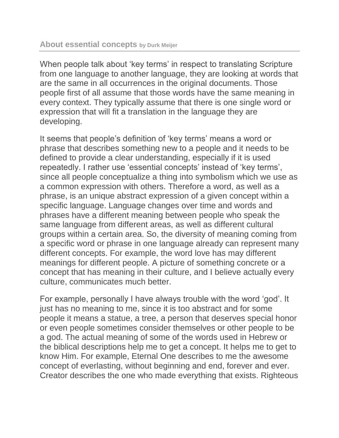When people talk about 'key terms' in respect to translating Scripture from one language to another language, they are looking at words that are the same in all occurrences in the original documents. Those people first of all assume that those words have the same meaning in every context. They typically assume that there is one single word or expression that will fit a translation in the language they are developing.

It seems that people's definition of 'key terms' means a word or phrase that describes something new to a people and it needs to be defined to provide a clear understanding, especially if it is used repeatedly. I rather use 'essential concepts' instead of 'key terms', since all people conceptualize a thing into symbolism which we use as a common expression with others. Therefore a word, as well as a phrase, is an unique abstract expression of a given concept within a specific language. Language changes over time and words and phrases have a different meaning between people who speak the same language from different areas, as well as different cultural groups within a certain area. So, the diversity of meaning coming from a specific word or phrase in one language already can represent many different concepts. For example, the word love has may different meanings for different people. A picture of something concrete or a concept that has meaning in their culture, and I believe actually every culture, communicates much better.

For example, personally I have always trouble with the word 'god'. It just has no meaning to me, since it is too abstract and for some people it means a statue, a tree, a person that deserves special honor or even people sometimes consider themselves or other people to be a god. The actual meaning of some of the words used in Hebrew or the biblical descriptions help me to get a concept. It helps me to get to know Him. For example, Eternal One describes to me the awesome concept of everlasting, without beginning and end, forever and ever. Creator describes the one who made everything that exists. Righteous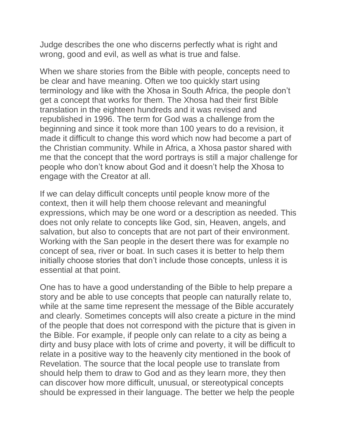Judge describes the one who discerns perfectly what is right and wrong, good and evil, as well as what is true and false.

When we share stories from the Bible with people, concepts need to be clear and have meaning. Often we too quickly start using terminology and like with the Xhosa in South Africa, the people don't get a concept that works for them. The Xhosa had their first Bible translation in the eighteen hundreds and it was revised and republished in 1996. The term for God was a challenge from the beginning and since it took more than 100 years to do a revision, it made it difficult to change this word which now had become a part of the Christian community. While in Africa, a Xhosa pastor shared with me that the concept that the word portrays is still a major challenge for people who don't know about God and it doesn't help the Xhosa to engage with the Creator at all.

If we can delay difficult concepts until people know more of the context, then it will help them choose relevant and meaningful expressions, which may be one word or a description as needed. This does not only relate to concepts like God, sin, Heaven, angels, and salvation, but also to concepts that are not part of their environment. Working with the San people in the desert there was for example no concept of sea, river or boat. In such cases it is better to help them initially choose stories that don't include those concepts, unless it is essential at that point.

One has to have a good understanding of the Bible to help prepare a story and be able to use concepts that people can naturally relate to, while at the same time represent the message of the Bible accurately and clearly. Sometimes concepts will also create a picture in the mind of the people that does not correspond with the picture that is given in the Bible. For example, if people only can relate to a city as being a dirty and busy place with lots of crime and poverty, it will be difficult to relate in a positive way to the heavenly city mentioned in the book of Revelation. The source that the local people use to translate from should help them to draw to God and as they learn more, they then can discover how more difficult, unusual, or stereotypical concepts should be expressed in their language. The better we help the people